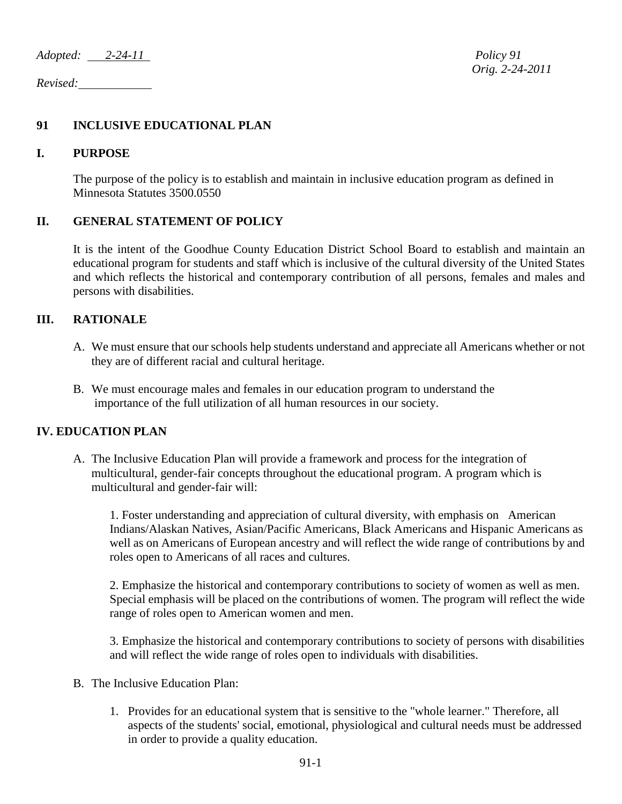*Adopted: 2-24-11 Policy 91*

*Revised:* 

# **91 INCLUSIVE EDUCATIONAL PLAN**

#### **I. PURPOSE**

The purpose of the policy is to establish and maintain in inclusive education program as defined in Minnesota Statutes 3500.0550

## **II. GENERAL STATEMENT OF POLICY**

It is the intent of the Goodhue County Education District School Board to establish and maintain an educational program for students and staff which is inclusive of the cultural diversity of the United States and which reflects the historical and contemporary contribution of all persons, females and males and persons with disabilities.

#### **III. RATIONALE**

- A. We must ensure that our schools help students understand and appreciate all Americans whether or not they are of different racial and cultural heritage.
- B. We must encourage males and females in our education program to understand the importance of the full utilization of all human resources in our society.

## **IV. EDUCATION PLAN**

A. The Inclusive Education Plan will provide a framework and process for the integration of multicultural, gender-fair concepts throughout the educational program. A program which is multicultural and gender-fair will:

1. Foster understanding and appreciation of cultural diversity, with emphasis on American Indians/Alaskan Natives, Asian/Pacific Americans, Black Americans and Hispanic Americans as well as on Americans of European ancestry and will reflect the wide range of contributions by and roles open to Americans of all races and cultures.

2. Emphasize the historical and contemporary contributions to society of women as well as men. Special emphasis will be placed on the contributions of women. The program will reflect the wide range of roles open to American women and men.

3. Emphasize the historical and contemporary contributions to society of persons with disabilities and will reflect the wide range of roles open to individuals with disabilities.

- B. The Inclusive Education Plan:
	- 1. Provides for an educational system that is sensitive to the "whole learner." Therefore, all aspects of the students' social, emotional, physiological and cultural needs must be addressed in order to provide a quality education.